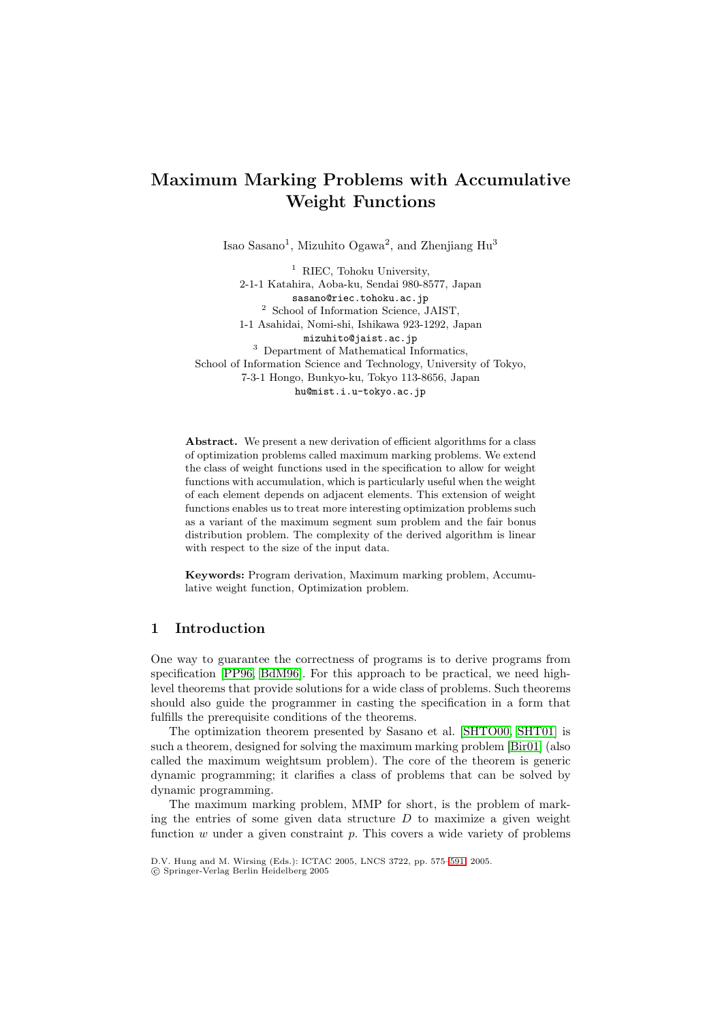# **Maximum Marking Problems with Accumulative Weight Functions**

Isao Sasano<sup>1</sup>, Mizuhito Ogawa<sup>2</sup>, and Zhenjiang  $Hu^3$ 

 $^{\rm 1}$  RIEC, Tohoku University, 2-1-1 Katahira, Aoba-ku, Sendai 980-8577, Japan sasano@riec.tohoku.ac.jp  $^2\,$  School of Information Science, JAIST, 1-1 Asahidai, Nomi-shi, Ishikawa 923-1292, Japan mizuhito@jaist.ac.jp <sup>3</sup> Department of Mathematical Informatics, School of Information Science and Technology, University of Tokyo, 7-3-1 Hongo, Bunkyo-ku, Tokyo 113-8656, Japan hu@mist.i.u-tokyo.ac.jp

Abstract. We present a new derivation of efficient algorithms for a class of optimization problems called maximum marking problems. We extend the class of weight functions used in the specification to allow for weight functions with accumulation, which is particularly useful when the weight of each element depends on adjacent elements. This extension of weight functions enables us to treat more interesting optimization problems such as a variant of the maximum segment sum problem and the fair bonus distribution problem. The complexity of the derived algorithm is linear with respect to the size of the input data.

**Keywords:** Program derivation, Maximum marking problem, Accumulative weight function, Optimization problem.

# **1 Introduction**

One way to guarantee the correctness of programs is to derive programs from specification [\[PP96,](#page-15-0) [BdM96\]](#page-15-1). For this approach to be practical, we need highlevel theorems that provide solutions for a wide class of problems. Such theorems should also guide the programmer in casting the specification in a form that fulfills the prerequisite conditions of the theorems.

The optimization theorem presented by Sasano et al. [\[SHTO00,](#page-16-0) [SHT01\]](#page-16-1) is such a theorem, designed for solving the maximum marking problem [\[Bir01\]](#page-15-2) (also called the maximum weightsum problem). The core of the theorem is generic dynamic programming; it clarifies a class of problems that can be solved by dynamic programming.

The maximum marking problem, MMP for short, is the problem of marking the entries of some given data structure  $D$  to maximize a given weight function  $w$  under a given constraint  $p$ . This covers a wide variety of problems

D.V. Hung and M. Wirsing (Eds.): ICTAC 2005, LNCS 3722, pp. 575[–591,](#page-15-3) 2005.

c Springer-Verlag Berlin Heidelberg 2005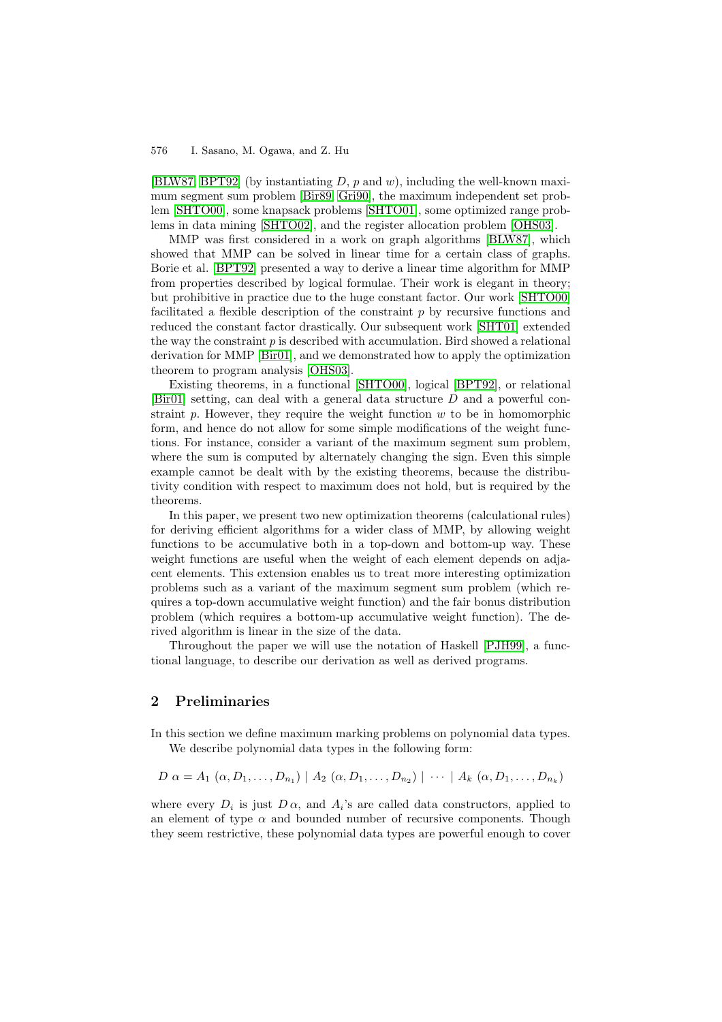[\[BLW87,](#page-15-4) [BPT92\]](#page-15-5) (by instantiating  $D$ ,  $p$  and  $w$ ), including the well-known maximum segment sum problem [\[Bir89,](#page-15-6) [Gri90\]](#page-15-7), the maximum independent set problem [\[SHTO00\]](#page-16-0), some knapsack problems [\[SHTO01\]](#page-16-2), some optimized range problems in data mining [\[SHTO02\]](#page-16-3), and the register allocation problem [\[OHS03\]](#page-15-8).

MMP was first considered in a work on graph algorithms [\[BLW87\]](#page-15-4), which showed that MMP can be solved in linear time for a certain class of graphs. Borie et al. [\[BPT92\]](#page-15-5) presented a way to derive a linear time algorithm for MMP from properties described by logical formulae. Their work is elegant in theory; but prohibitive in practice due to the huge constant factor. Our work [\[SHTO00\]](#page-16-0) facilitated a flexible description of the constraint  $p$  by recursive functions and reduced the constant factor drastically. Our subsequent work [\[SHT01\]](#page-16-1) extended the way the constraint  $p$  is described with accumulation. Bird showed a relational derivation for MMP [\[Bir01\]](#page-15-2), and we demonstrated how to apply the optimization theorem to program analysis [\[OHS03\]](#page-15-8).

Existing theorems, in a functional [\[SHTO00\]](#page-16-0), logical [\[BPT92\]](#page-15-5), or relational [\[Bir01\]](#page-15-2) setting, can deal with a general data structure D and a powerful constraint  $p$ . However, they require the weight function  $w$  to be in homomorphic form, and hence do not allow for some simple modifications of the weight functions. For instance, consider a variant of the maximum segment sum problem, where the sum is computed by alternately changing the sign. Even this simple example cannot be dealt with by the existing theorems, because the distributivity condition with respect to maximum does not hold, but is required by the theorems.

In this paper, we present two new optimization theorems (calculational rules) for deriving efficient algorithms for a wider class of MMP, by allowing weight functions to be accumulative both in a top-down and bottom-up way. These weight functions are useful when the weight of each element depends on adjacent elements. This extension enables us to treat more interesting optimization problems such as a variant of the maximum segment sum problem (which requires a top-down accumulative weight function) and the fair bonus distribution problem (which requires a bottom-up accumulative weight function). The derived algorithm is linear in the size of the data.

Throughout the paper we will use the notation of Haskell [\[PJH99\]](#page-15-9), a functional language, to describe our derivation as well as derived programs.

# **2 Preliminaries**

In this section we define maximum marking problems on polynomial data types. We describe polynomial data types in the following form:

$$
D \alpha = A_1 \ (\alpha, D_1, \ldots, D_{n_1}) \ | \ A_2 \ (\alpha, D_1, \ldots, D_{n_2}) \ | \ \cdots \ | \ A_k \ (\alpha, D_1, \ldots, D_{n_k})
$$

where every  $D_i$  is just  $D\alpha$ , and  $A_i$ 's are called data constructors, applied to an element of type  $\alpha$  and bounded number of recursive components. Though they seem restrictive, these polynomial data types are powerful enough to cover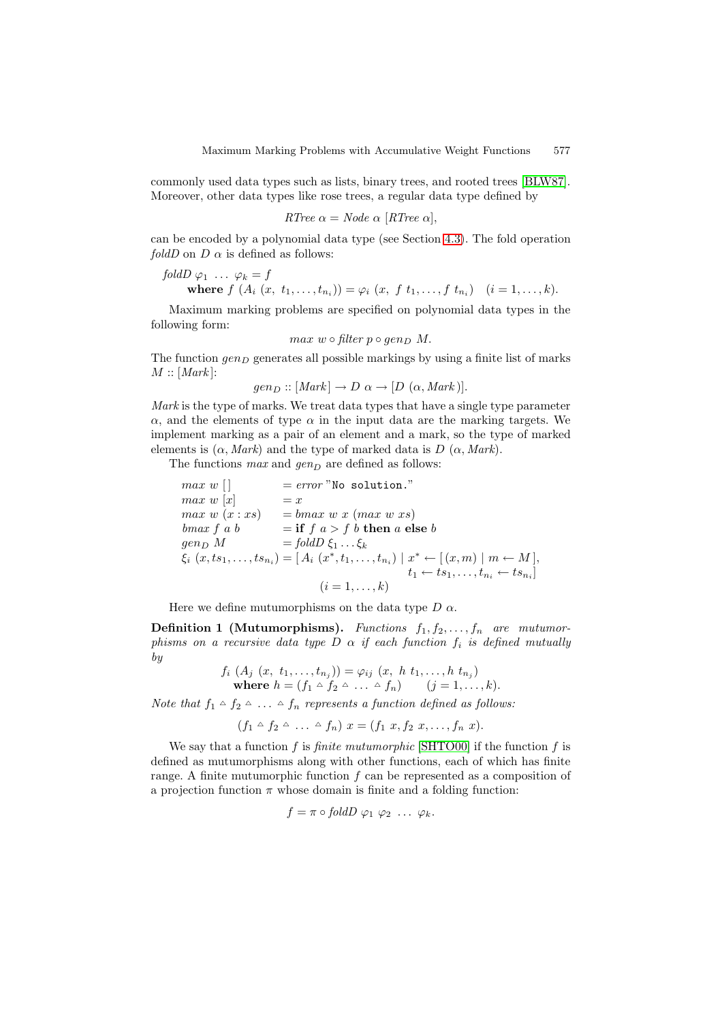commonly used data types such as lists, binary trees, and rooted trees [\[BLW87\]](#page-15-4). Moreover, other data types like rose trees, a regular data type defined by

$$
RTree \alpha = Node \alpha [RTree \alpha],
$$

can be encoded by a polynomial data type (see Section [4.3\)](#page-10-0). The fold operation  $foldD$  on  $D \alpha$  is defined as follows:

 $foldD \varphi_1 \dots \varphi_k = f$ **where**  $f(A_i(x, t_1,...,t_{n_i})) = \varphi_i(x, t_1,...,t_{n_i})$   $(i = 1,...,k)$ .

Maximum marking problems are specified on polynomial data types in the following form:

$$
max \ w \circ filter \ p \circ gen_D \ M.
$$

The function  $gen_D$  generates all possible markings by using a finite list of marks  $M::[Mark]:$ 

 $gen_D :: [Mark] \rightarrow D \alpha \rightarrow [D (\alpha, Mark)].$ 

Mark is the type of marks. We treat data types that have a single type parameter  $\alpha$ , and the elements of type  $\alpha$  in the input data are the marking targets. We implement marking as a pair of an element and a mark, so the type of marked elements is  $(\alpha, Mark)$  and the type of marked data is  $D(\alpha, Mark)$ .

The functions max and  $gen_D$  are defined as follows:

```
max w [] = error "No solution."
max w [x] = xmax w(x : xs) = bmax w x (max w xs)bm{a} f a b = if f a > f b then a else b
gen_D M = fold D \xi_1 ... \xi_k\xi_i (x, ts_1, \ldots, ts_{n_i}) = [ A_i (x^*, t_1, \ldots, t_{n_i}) | x^* \leftarrow [(x, m) | m \leftarrow M],t_1 \leftarrow ts_1, \ldots, t_{n_i} \leftarrow ts_{n_i}(i = 1, \ldots, k)
```
Here we define mutumorphisms on the data type  $D \alpha$ .

**Definition 1 (Mutumorphisms).** Functions  $f_1, f_2, \ldots, f_n$  are mutumorphisms on a recursive data type  $D \alpha$  if each function  $f_i$  is defined mutually by

$$
f_i\ (A_j\ (x,\ t_1,\ldots,t_{n_j})) = \varphi_{ij}\ (x,\ h\ t_1,\ldots,h\ t_{n_j})
$$
  
where  $h = (f_1 \wedge f_2 \wedge \ldots \wedge f_n) \qquad (j = 1,\ldots,k).$ 

Note that  $f_1 \triangleq f_2 \triangleq \ldots \triangleq f_n$  represents a function defined as follows:

 $(f_1 \circ f_2 \circ \ldots \circ f_n) x = (f_1 x, f_2 x, \ldots, f_n x).$ 

We say that a function f is finite mutumorphic [\[SHTO00\]](#page-16-0) if the function f is defined as mutumorphisms along with other functions, each of which has finite range. A finite mutumorphic function  $f$  can be represented as a composition of a projection function  $\pi$  whose domain is finite and a folding function:

$$
f = \pi \circ foldD \varphi_1 \varphi_2 \ldots \varphi_k.
$$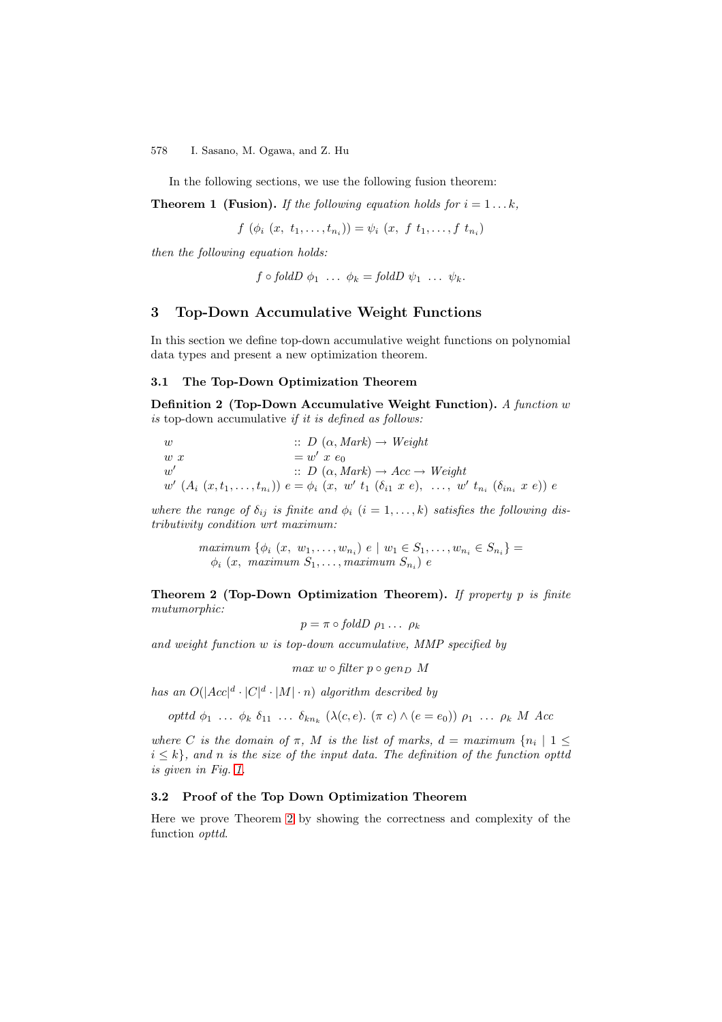In the following sections, we use the following fusion theorem:

<span id="page-3-1"></span>**Theorem 1 (Fusion).** If the following equation holds for  $i = 1...k$ ,

f  $(\phi_i(x, t_1, \ldots, t_n)) = \psi_i(x, t_1, \ldots, t_n)$ 

then the following equation holds:

 $f \circ \text{fold}D \phi_1 \dots \phi_k = \text{fold}D \psi_1 \dots \psi_k.$ 

# **3 Top-Down Accumulative Weight Functions**

In this section we define top-down accumulative weight functions on polynomial data types and present a new optimization theorem.

# **3.1 The Top-Down Optimization Theorem**

**Definition 2 (Top-Down Accumulative Weight Function).** A function w is top-down accumulative if it is defined as follows:

| w               | $\therefore$ D $(\alpha, Mark) \rightarrow Weight$                                                                    |
|-----------------|-----------------------------------------------------------------------------------------------------------------------|
| w x             | $= w' x e_0$                                                                                                          |
| $\overline{w}'$ | $\therefore$ D $(\alpha, Mark) \rightarrow Acc \rightarrow Weight$                                                    |
|                 | $w'(A_i(x, t_1, \ldots, t_{n_i}))$ $e = \phi_i(x, w' t_1(\delta_{i1} x e), \ldots, w' t_{n_i}(\delta_{i n_i} x e))$ e |

where the range of  $\delta_{ij}$  is finite and  $\phi_i$   $(i = 1, \ldots, k)$  satisfies the following distributivity condition wrt maximum:

> maximum  $\{\phi_i(x, w_1, \ldots, w_{n_i})\ e \mid w_1 \in S_1, \ldots, w_{n_i} \in S_{n_i}\} =$  $\phi_i$  (x, maximum  $S_1, \ldots,$  maximum  $S_{n_i}$ ) e

<span id="page-3-0"></span>**Theorem 2 (Top-Down Optimization Theorem).** If property p is finite mutumorphic:

 $p = \pi \circ \text{fold}D \rho_1 \ldots \rho_k$ 

and weight function w is top-down accumulative, MMP specified by

 $max w \circ filter v \circ a \circ n \circ M$ 

has an  $O(|Acc|^d \cdot |C|^d \cdot |M| \cdot n)$  algorithm described by

opttd  $\phi_1$  ...  $\phi_k$   $\delta_{11}$  ...  $\delta_{kn_k}$  ( $\lambda(c, e)$ .  $(\pi c) \wedge (e = e_0)$ )  $\rho_1$  ...  $\rho_k$  M Acc

where C is the domain of  $\pi$ , M is the list of marks,  $d = \text{maximum } \{n_i \mid 1 \leq$  $i \leq k$ , and n is the size of the input data. The definition of the function optid is given in Fig. [1.](#page-4-0)

## **3.2 Proof of the Top Down Optimization Theorem**

Here we prove Theorem [2](#page-3-0) by showing the correctness and complexity of the function opttd.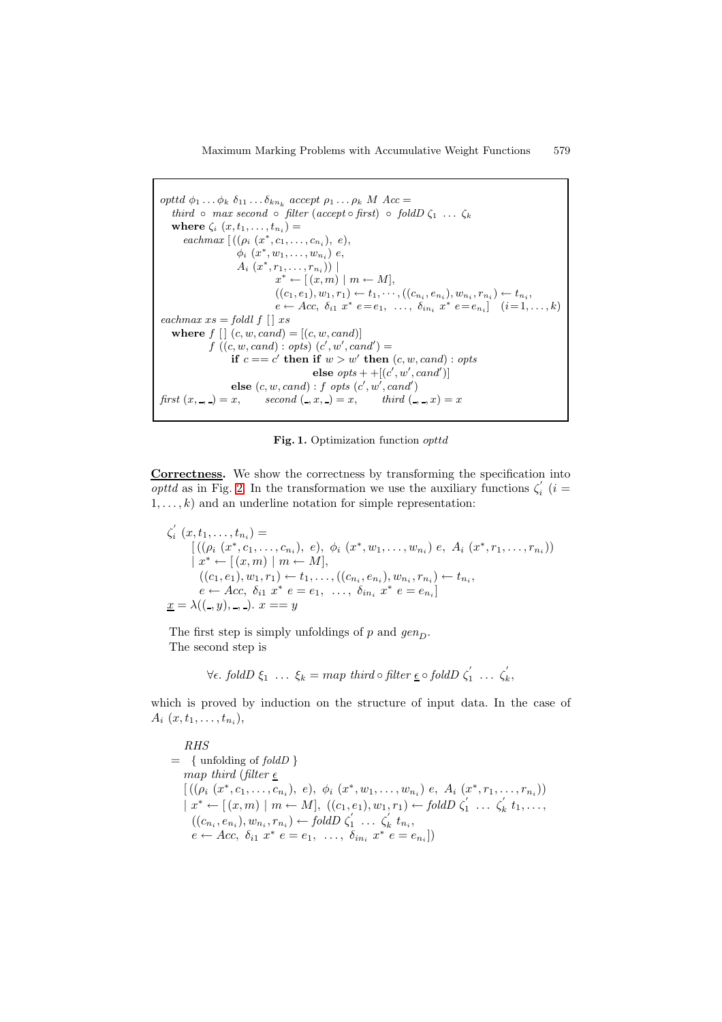opttd  $\phi_1 \dots \phi_k \ \delta_{11} \dots \delta_{kn_k}$  accept  $\rho_1 \dots \rho_k$  M Acc = third ∘ max second ∘ filter (accept ∘ first) ∘ foldD  $\zeta_1$  ...  $\zeta_k$ **where**  $\zeta_i$   $(x, t_1, \ldots, t_{n_i}) =$  $eachmax$   $[(\rho_i(x^*, c_1, \ldots, c_{n_i}), e),]$  $\phi_i(x^*, w_1, \ldots, w_{n_i}) e,$  $A_i (x^*, r_1, \ldots, r_{n_i})$ ) |  $x^* \leftarrow [(x, m) \mid m \leftarrow M],$  $((c_1, e_1), w_1, r_1) \leftarrow t_1, \cdots, ((c_{n_i}, e_{n_i}), w_{n_i}, r_{n_i}) \leftarrow t_{n_i},$  $e \leftarrow Acc, \ \delta_{i1} \ x^* \ e = e_1, \ \ldots, \ \delta_{in_i} \ x^* \ e = e_{n_i} \left[ \ (i=1,\ldots,k) \right]$ eachmax  $xs = fold l f \mid xs$ **where**  $f$  []  $(c, w, cand) = [(c, w, cand)]$  $f((c, w, cand): opts) (c', w', cand') =$ **if**  $c == c'$  **then if**  $w > w'$  **then**  $(c, w, cand)$  : *opts* **else**  $opts + \left[ (c', w', cand') \right]$ else  $(c, w, cand) : f \text{ } opts \text{ } (c', w', cand')$ first  $(x, \square, \square) = x$ , second  $(\square, x, \square) = x$ , third  $(\square, \square, x) = x$ 

<span id="page-4-0"></span>Fig. 1. Optimization function *opttd* 

**Correctness.** We show the correctness by transforming the specification into *opttd* as in Fig. [2.](#page-5-0) In the transformation we use the auxiliary functions  $\zeta_i'$  (*i* =  $1, \ldots, k$ ) and an underline notation for simple representation:

$$
\zeta'_{i}(x, t_{1},..., t_{n_{i}}) =
$$
\n
$$
[\langle (\rho_{i}(x^{*}, c_{1},..., c_{n_{i}}), e), \phi_{i}(x^{*}, w_{1},..., w_{n_{i}}) e, A_{i}(x^{*}, r_{1},..., r_{n_{i}}) \rangle
$$
\n
$$
| x^{*} \leftarrow [ (x, m) | m \leftarrow M ],
$$
\n
$$
(\langle c_{1}, e_{1} \rangle, w_{1}, r_{1}) \leftarrow t_{1}, ..., (\langle c_{n_{i}}, e_{n_{i}} \rangle, w_{n_{i}}, r_{n_{i}}) \leftarrow t_{n_{i}},
$$
\n
$$
e \leftarrow Acc, \delta_{i1} x^{*} e = e_{1}, ..., \delta_{in_{i}} x^{*} e = e_{n_{i}}]
$$
\n
$$
\underline{x} = \lambda ((-, y), -, -). x == y
$$

The first step is simply unfoldings of p and  $gen_D$ . The second step is

$$
\forall \epsilon. \; foldD \; \xi_1 \; \ldots \; \xi_k = map \; third \circ filter \; \underline{\epsilon} \circ foldD \; \zeta_1' \; \ldots \; \zeta_k',
$$

which is proved by induction on the structure of input data. In the case of  $A_i$   $(x, t_1, \ldots, t_{n_i}),$ 

RHS

$$
= \{ \text{unfoldding of } follow}\n\nmap third (filter  $\underline{\epsilon}$ \n
$$
[( (\rho_i (x^*, c_1, \ldots, c_{n_i}), e), \phi_i (x^*, w_1, \ldots, w_{n_i}) e, A_i (x^*, r_1, \ldots, r_{n_i}) )\n\n| x^* \leftarrow [(x, m) | m \leftarrow M], ((c_1, e_1), w_1, r_1) \leftarrow foldD \zeta'_1 \ldots \zeta'_k t_1, \ldots, \n ((c_{n_i}, e_{n_i}), w_{n_i}, r_{n_i}) \leftarrow foldD \zeta'_1 \ldots \zeta'_k t_{n_i}, \n e \leftarrow Acc, \delta_{i1} x^* e = e_1, \ldots, \delta_{in_i} x^* e = e_{n_i}])
$$
$$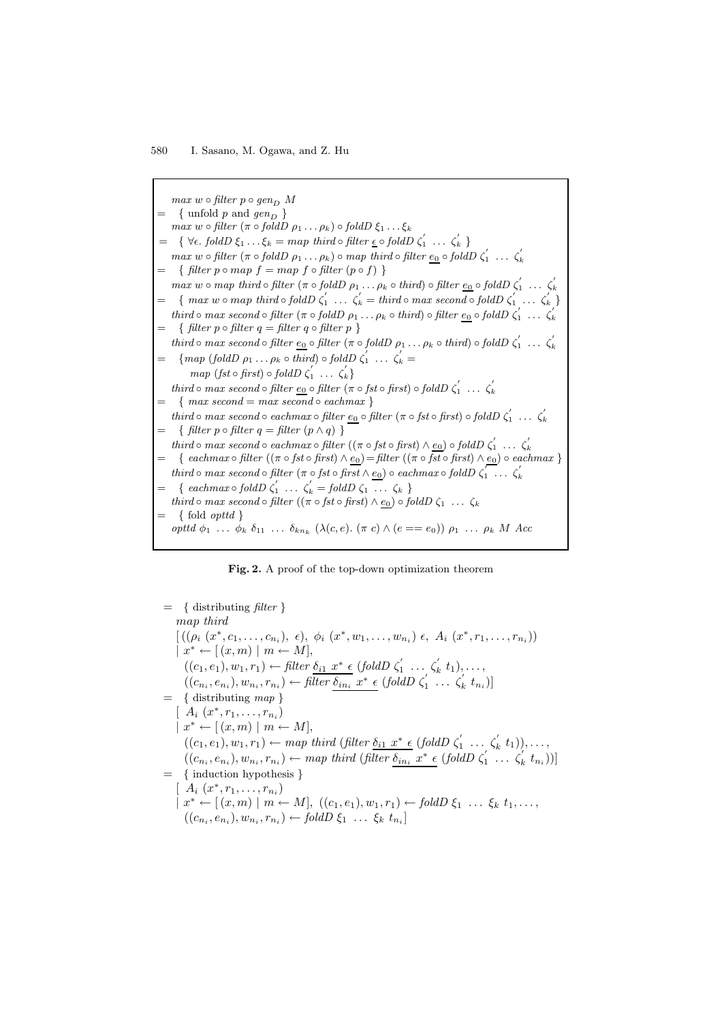$max w \circ filter p \circ gen_D M$  $= \{$  unfold p and gen<sub>D</sub>  $\}$ max w  $\circ$  filter  $(\pi \circ \text{fold}D \rho_1 \ldots \rho_k) \circ \text{fold}D \xi_1 \ldots \xi_k$ = { $\forall \epsilon$ . foldD  $\xi_1 \dots \xi_k = map$  third  $\circ$  filter  $\underline{\epsilon} \circ \circ \text{foldD} \zeta'_1 \dots \zeta'_k$  } max w  $\circ$  filter  $(\pi \circ \text{fold}D \rho_1 \ldots \rho_k) \circ \text{map third} \circ \text{filter} \underline{e_0} \circ \text{fold}D \zeta_1' \ldots \zeta_k'$ { filter  $p \circ map f = map f \circ filter (p \circ f)$  } max w  $\circ$  map third  $\circ$  filter ( $\pi \circ$  foldD  $\rho_1 \dots \rho_k \circ$  third)  $\circ$  filter  $\underline{e_0} \circ$  foldD  $\zeta'_1 \dots \zeta'_k$ = { max w ◦ map third ◦ foldD ζ - <sup>1</sup> ... ζ- <sup>k</sup> = third ◦ max second ◦ foldD ζ - <sup>1</sup> ... ζ- <sup>k</sup> } third  $\circ$  max second  $\circ$  filter ( $\pi \circ$  foldD  $\rho_1 \dots \rho_k \circ$  third)  $\circ$  filter  $\underline{e_0} \circ$  foldD  $\zeta_1' \dots \zeta_k'$  $= \{ filter p \circ filter q = filter q \circ filter p \}$ third  $\circ$  max second  $\circ$  filter  $\underline{e_0} \circ$  filter  $(\pi \circ$  foldD  $\rho_1 \dots \rho_k \circ$  third)  $\circ$  foldD  $\zeta_1' \dots \zeta_k'$  $=$  {map (foldD  $\rho_1 \dots \rho_k \circ \overline{third}$ )  $\circ$  foldD  $\zeta_1' \dots \zeta_k' =$  $map (fst \circ first) \circ fold D \zeta_1' \ldots \zeta_k'$ third  $\circ$  max second  $\circ$  filter  $\underline{e_0} \circ$  filter  $(\pi \circ \textit{fst} \circ \textit{first}) \circ \textit{foldD} \zeta_1' \dots \zeta_k'$  $= \{ max second = max second \circ each max \}$ third  $\circ$  max second  $\circ$  eachmax  $\circ$  filter  $\underline{e_0} \circ$  filter  $(\pi \circ \textit{fst} \circ \textit{first}) \circ \textit{foldD} \zeta_1' \dots \zeta_k'$  $= \{ filter p \circ filter q = filter (p \land q) \}$ third  $\circ$  max second  $\circ$  each max  $\circ$  filter  $((\pi \circ fst \circ first) \land \underline{e_0}) \circ foldD \zeta_1' \dots \zeta_k'$  $= \{ each max \circ filter ((\pi \circ fst \circ first) \land e_0) = filter ((\pi \circ fst \circ first) \land e_0) \circ each max \}$ third  $\circ$  max second  $\circ$  filter  $(\pi \circ fst \circ \text{first} \wedge \underline{e_0}) \circ \text{eachmax} \circ \text{foldD} \zeta_1$ ...  $\zeta_k$ = {  $\{ each max \circ fold D \, \zeta'_1 \, \dots \, \zeta'_k \, = fold D \, \zeta_1 \, \dots \, \zeta_k \, \}$ third  $\circ$  max second  $\circ$  filter  $((\pi \circ f \circ f \circ f \circ f)) \wedge e_0) \circ f \circ dD \zeta_1 \cdots \zeta_k$  $= \{ \text{ fold } \text{opttd} \}$ opttd  $\phi_1$  ...  $\phi_k$   $\delta_{11}$  ...  $\delta_{kn_k}$  ( $\lambda(c, e)$ . ( $\pi$  c)  $\wedge$  ( $e == e_0$ ))  $\rho_1$  ...  $\rho_k$  M Acc



```
= \{ distributing filter \}map third
    [(\rho_i(x^*,c_1,\ldots,c_n),\epsilon),\phi_i(x^*,w_1,\ldots,w_n)\epsilon, A_i(x^*,r_1,\ldots,r_n)]x^* \leftarrow [(x, m) \mid m \leftarrow M],((c_1, e_1), w_1, r_1) \leftarrow filter \underline{\delta_{i1} x^* \epsilon} (foldD \zeta'_1 \dots \zeta'_k t_1), \dots,((c_{n_i}, e_{n_i}), w_{n_i}, r_{n_i}) \leftarrow filter \underline{\delta_{in_i}} x^* \in (foldD \zeta_1' \dots \zeta_k' t_{n_i})]= \{ distributing map \}[A_i (x^*, r_1, \ldots, r_{n_i})]x^* \leftarrow [(x, m) \mid m \leftarrow M],((c_1, e_1), w_1, r_1) \leftarrow map \text{ third (filter } \underline{\delta_{i1} \ x^* \epsilon} \text{ (fold } D \zeta_1' \dots \zeta_k' t_1)), \dots,((c_{n_i}, e_{n_i}), w_{n_i}, r_{n_i}) \leftarrow map \text{ third (filter } \underline{\delta_{in_i}} \ x^* \in (foldD \ \zeta'_1 \ \ldots \ \zeta'_k \ t_{n_i}))]= { induction hypothesis }
    [A_i (x^*, r_1, \ldots, r_{n_i})]x^* \leftarrow [(x, m) \mid m \leftarrow M], ((c_1, e_1), w_1, r_1) \leftarrow foldD \xi_1 \dots \xi_k t_1, \dots,((c_{n_i}, e_{n_i}), w_{n_i}, r_{n_i}) \leftarrow follow(6, 6) \infty ... \xi_k t_{n_i}
```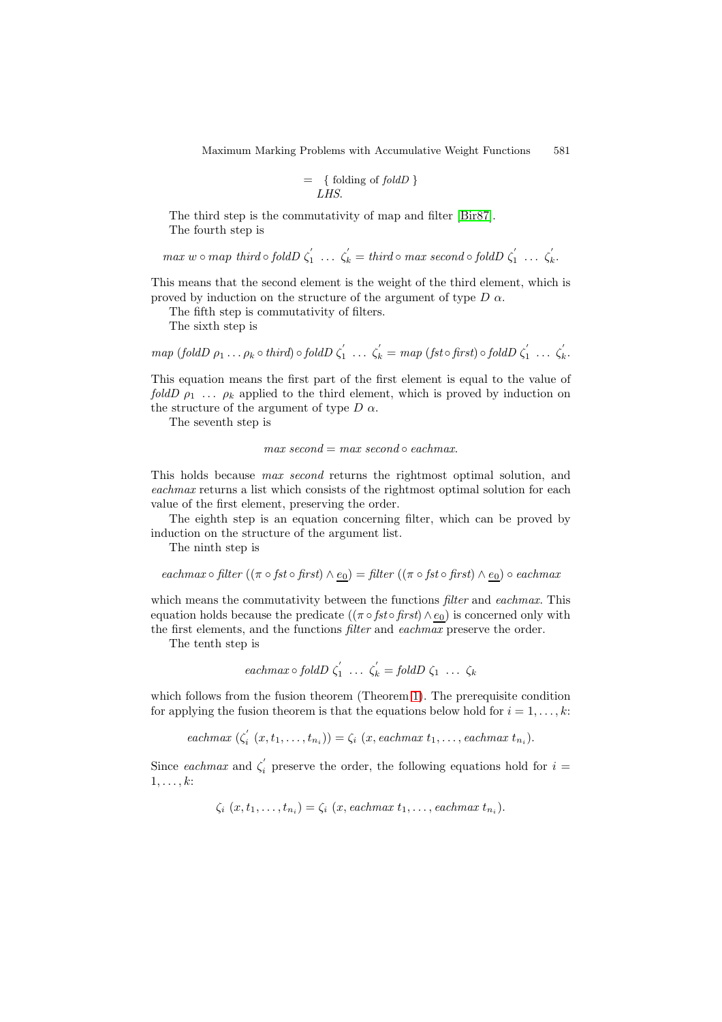$$
= \{ \text{ folding of } foldD \}
$$
  
LHS.

The third step is the commutativity of map and filter [\[Bir87\]](#page-15-10). The fourth step is

 $max w \circ map \ third \circ fold D \ \zeta'_1 \ \ldots \ \zeta'_k = third \circ max \ second \circ fold D \ \zeta'_1 \ \ldots \ \zeta'_k.$ 

This means that the second element is the weight of the third element, which is proved by induction on the structure of the argument of type  $D \alpha$ .

The fifth step is commutativity of filters.

The sixth step is

 $map (foldD \rho_1 ... \rho_k \circ third) \circ foldD \zeta_1' ... \zeta_k' = map (fst \circ first) \circ foldD \zeta_1' ... \zeta_k'.$ 

This equation means the first part of the first element is equal to the value of foldD  $\rho_1$  ...  $\rho_k$  applied to the third element, which is proved by induction on the structure of the argument of type  $D \alpha$ .

The seventh step is

### $max$  second = max second  $\circ$  eachmax.

This holds because max second returns the rightmost optimal solution, and eachmax returns a list which consists of the rightmost optimal solution for each value of the first element, preserving the order.

The eighth step is an equation concerning filter, which can be proved by induction on the structure of the argument list.

The ninth step is

eachmax of 
$$
f
$$
 (if  $f$  is  $f$  is  $f$  is  $f$  is  $f$  is  $f$  is  $f$  (if  $f$  is  $f$  is  $f$  is  $f$  is  $f$  is  $f$  is  $f$  is  $f$  is  $f$  is  $f$  is  $f$  is  $f$  is  $f$  is  $f$  is  $f$  is  $f$  is  $f$  is  $f$  is  $f$  is  $f$  is  $f$  is  $f$  is  $f$  is  $f$  is  $f$  is  $f$  is  $f$  is  $f$  is  $f$  is  $f$  is  $f$  is  $f$  is  $f$  is  $f$  is  $f$  is  $f$  is  $f$  is  $f$  is  $f$  is  $f$  is  $f$  is  $f$  is  $f$  is  $f$  is  $f$  is  $f$  is  $f$  is  $f$  is  $f$  is  $f$  is  $f$  is  $f$  is  $f$  is  $f$  is  $f$  is  $f$  is  $f$  is  $f$  is  $f$  is  $f$  is  $f$  is  $f$  is  $f$  is  $f$  is  $f$  is  $f$  is  $f$  is  $f$  is  $f$  is  $f$  is  $f$  is  $f$  is  $f$  is  $f$  is  $f$  is  $f$  is  $f$  is  $f$  is  $f$  is  $f$  is  $f$  is  $f$  is  $f$  is  $f$  is  $f$  is  $f$  is  $f$  is  $f$  is  $f$  is  $f$  is  $f$  is  $f$  is  $f$  is  $f$  is  $f$  is  $f$  is  $f$  is  $f$  is  $f$  is  $f$  is  $f$ 

which means the commutativity between the functions *filter* and *eachmax*. This equation holds because the predicate  $((\pi \circ \text{fst} \circ \text{first}) \land e_0)$  is concerned only with the first elements, and the functions filter and eachmax preserve the order.

The tenth step is

eachmax 
$$
\circ
$$
 foldD  $\zeta'_1$  ...  $\zeta'_k = foldD \zeta_1 ... \zeta_k$ 

which follows from the fusion theorem (Theorem [1\)](#page-3-1). The prerequisite condition for applying the fusion theorem is that the equations below hold for  $i = 1, \ldots, k$ :

 $\textit{eachmax} \ (\zeta_i' \ (x, t_1, \ldots, t_{n_i})) = \zeta_i \ (x, \textit{eachmax} \ t_1, \ldots, \textit{eachmax} \ t_{n_i}).$ 

Since each max and  $\zeta'_{i}$  preserve the order, the following equations hold for  $i =$  $1,\ldots,k$ :

 $\zeta_i$   $(x, t_1,\ldots,t_{n_i}) = \zeta_i$   $(x, each max t_1,\ldots, each max t_{n_i}).$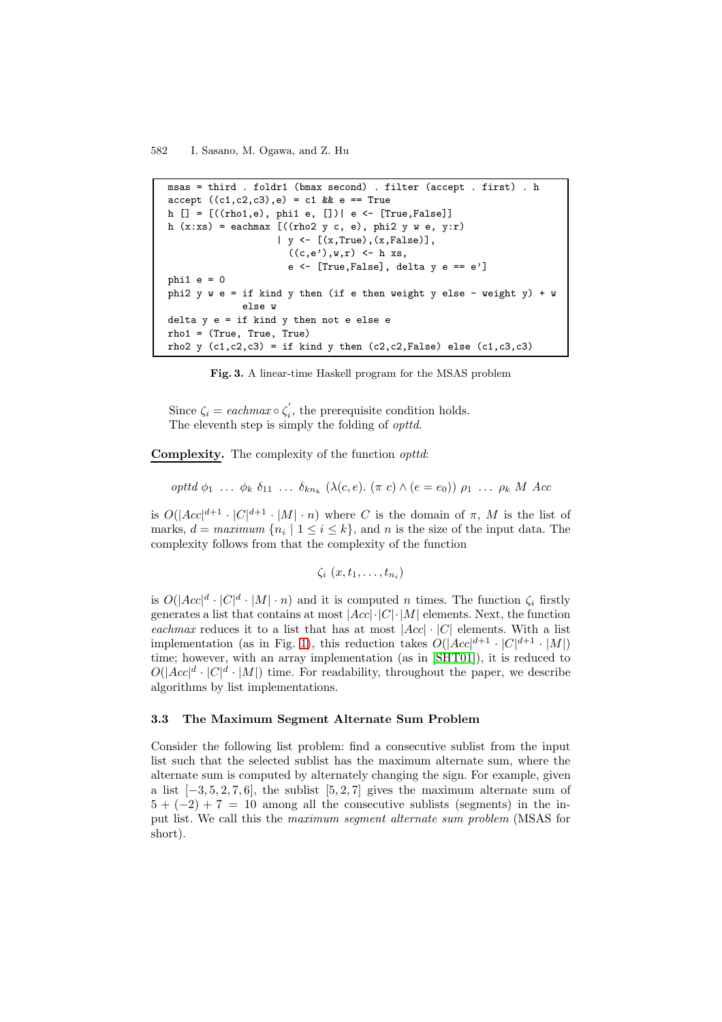```
msas = third . foldr1 (bmax second) . filter (accept . first) . h
accept ((c1, c2, c3), e) = c1 & e == Trueh [] = [((rho1,e), phi1 e, [])| e < - [True, False]]h (x:xs) = eachmax [((rho2 y c, e),phi2 y w e, y:r)| y <- [(x,True),(x,False)],
                      ((c,e'),w,r) <- h xs,
                     e \leftarrow [True, False], delta y e == e']
phi1 e = 0phi2 y w = if kind y then (if e then weight y else - weight y) + w
             else w
delta y e = if kind y then not e else e
rho1 = (True, True, True)
rho2 y (c1, c2, c3) = if kind y then (c2, c2, False) else (c1, c3, c3)
```
**Fig. 3.** A linear-time Haskell program for the MSAS problem

<span id="page-7-0"></span>Since  $\zeta_i = eachmax \circ \zeta_i'$ , the prerequisite condition holds. The eleventh step is simply the folding of *opttd*.

**Complexity.** The complexity of the function *opttd*:

opttd  $\phi_1$  ...  $\phi_k$   $\delta_{11}$  ...  $\delta_{kn_k}$  ( $\lambda(c, e)$ . ( $\pi$  c)  $\wedge$  ( $e = e_0$ ))  $\rho_1$  ...  $\rho_k$  M Acc

is  $O(|Acc|^{d+1} \cdot |C|^{d+1} \cdot |M| \cdot n)$  where C is the domain of  $\pi$ , M is the list of marks,  $d = \text{maximum } \{n_i \mid 1 \leq i \leq k\}$ , and n is the size of the input data. The complexity follows from that the complexity of the function

$$
\zeta_i(x, t_1, \ldots, t_{n_i})
$$

is  $O(|Acc|^d \cdot |C|^d \cdot |M| \cdot n)$  and it is computed n times. The function  $\zeta_i$  firstly generates a list that contains at most  $|Acc| \cdot |C| \cdot |M|$  elements. Next, the function eachmax reduces it to a list that has at most  $|Acc| \cdot |C|$  elements. With a list implementation (as in Fig. [1\)](#page-4-0), this reduction takes  $O(|Acc|^{d+1} \cdot |C|^{d+1} \cdot |M|)$ time; however, with an array implementation (as in [\[SHT01\]](#page-16-1)), it is reduced to  $O(|Acc|^d \cdot |C|^d \cdot |M|)$  time. For readability, throughout the paper, we describe algorithms by list implementations.

### **3.3 The Maximum Segment Alternate Sum Problem**

Consider the following list problem: find a consecutive sublist from the input list such that the selected sublist has the maximum alternate sum, where the alternate sum is computed by alternately changing the sign. For example, given a list  $[-3, 5, 2, 7, 6]$ , the sublist  $[5, 2, 7]$  gives the maximum alternate sum of  $5+(-2)+7=10$  among all the consecutive sublists (segments) in the input list. We call this the maximum segment alternate sum problem (MSAS for short).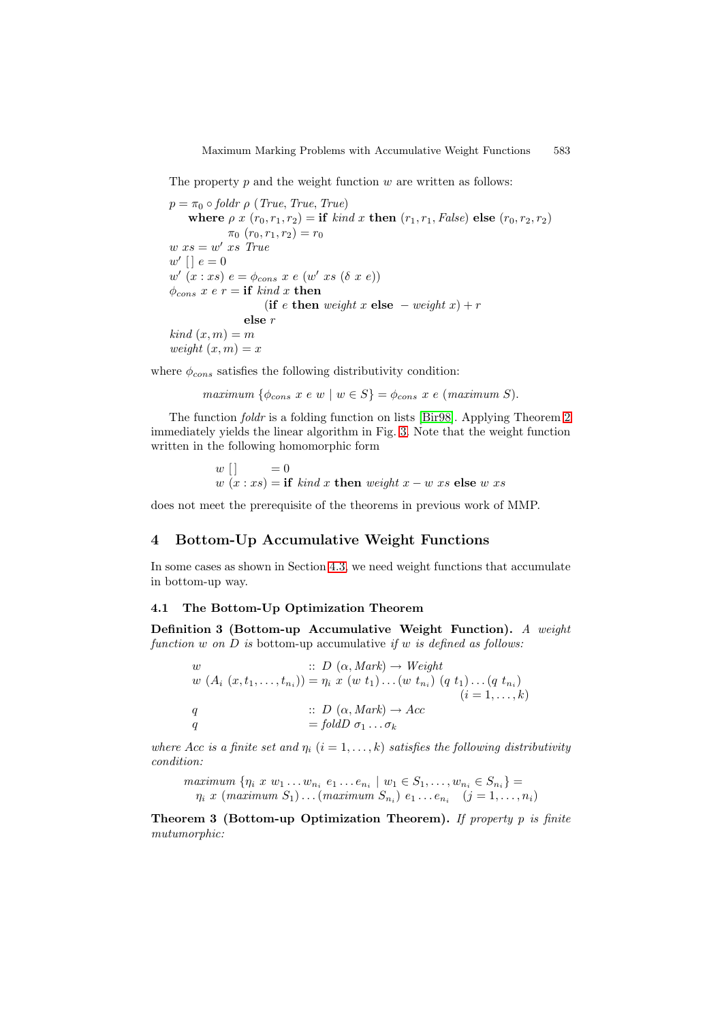The property  $p$  and the weight function  $w$  are written as follows:

 $p = \pi_0 \circ foldr \rho$  (True, True, True) **where**  $\rho$  x  $(r_0, r_1, r_2) =$  **if** kind x **then**  $(r_1, r_1, False)$  **else**  $(r_0, r_2, r_2)$  $\pi_0$   $(r_0, r_1, r_2) = r_0$  $w$   $xs = w'$   $xs$   $True$  $w'$  [ ]  $e = 0$  $w'$   $(x : xs)$   $e = \phi_{cons}$   $x$   $e$   $(w'$   $xs$   $(\delta x e))$  $\phi_{cons}$  *x*  $e$  *r* = **if** kind *x* **then** (**if** e **then** weight x **else**  $-$  weight  $x$ ) + r **else** r  $\text{kind}(x, m) = m$ weight  $(x, m) = x$ 

where  $\phi_{cons}$  satisfies the following distributivity condition:

$$
maximum \{\phi_{cons} \ x \ e \ w \mid w \in S\} = \phi_{cons} \ x \ e \ (maximum \ S).
$$

The function foldr is a folding function on lists [\[Bir98\]](#page-15-11). Applying Theorem [2](#page-3-0) immediately yields the linear algorithm in Fig. [3.](#page-7-0) Note that the weight function written in the following homomorphic form

$$
w [ ] = 0
$$
  
 
$$
w (x : xs) = \textbf{if } kind x \textbf{ then } weight x - w xs \textbf{ else } w xs
$$

does not meet the prerequisite of the theorems in previous work of MMP.

# **4 Bottom-Up Accumulative Weight Functions**

In some cases as shown in Section [4.3,](#page-10-0) we need weight functions that accumulate in bottom-up way.

### **4.1 The Bottom-Up Optimization Theorem**

**Definition 3 (Bottom-up Accumulative Weight Function).** A weight function  $w$  on  $D$  is bottom-up accumulative if  $w$  is defined as follows:

$$
w
$$
 ::  $D(\alpha, Mark) \to Weight$   
\n
$$
w(A_i(x, t_1, ..., t_{n_i})) = \eta_i x (w t_1) ... (w t_{n_i}) (q t_1) ... (q t_{n_i})
$$
  
\n
$$
q
$$
 ::  $D(\alpha, Mark) \to Acc$   
\n
$$
q
$$
  
\n
$$
= foldD \sigma_1 ... \sigma_k
$$

where Acc is a finite set and  $\eta_i$   $(i = 1, \ldots, k)$  satisfies the following distributivity condition:

$$
\begin{array}{c}\n\text{maximum } \{\eta_i \ x \ w_1 \dots w_{n_i} \ e_1 \dots e_{n_i} \ | \ w_1 \in S_1, \dots, w_{n_i} \in S_{n_i}\} = \\
\eta_i \ x \ (\text{maximum } S_1) \dots (\text{maximum } S_{n_i}) \ e_1 \dots e_{n_i} \quad (j = 1, \dots, n_i)\n\end{array}
$$

<span id="page-8-0"></span>**Theorem 3 (Bottom-up Optimization Theorem).** If property p is finite mutumorphic: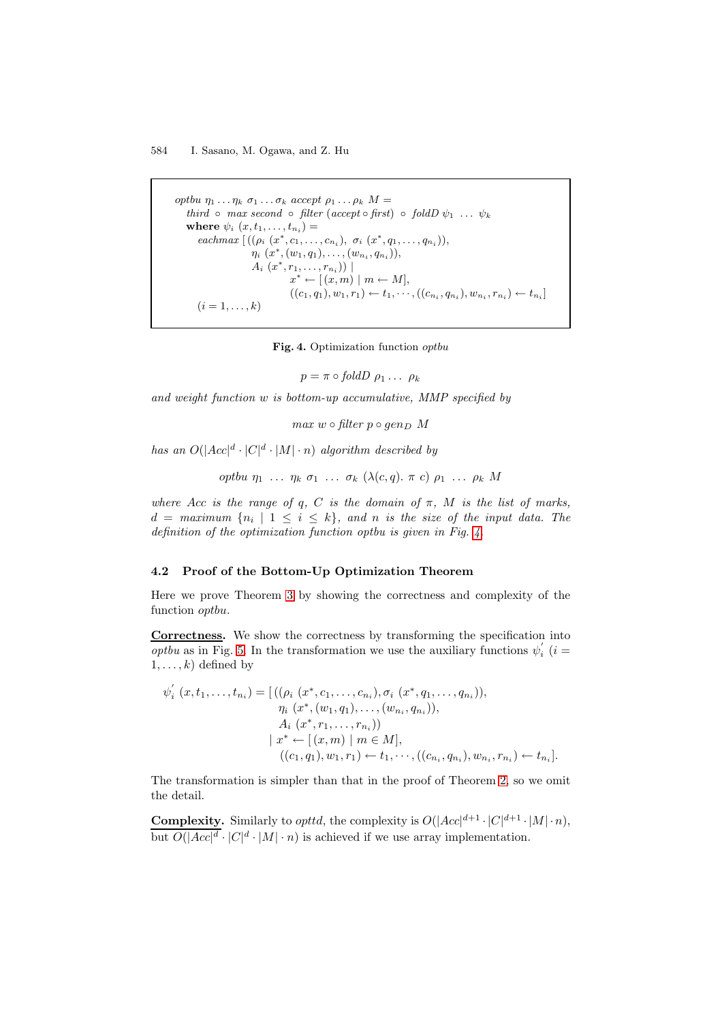```
optbu \eta_1 \dots \eta_k \sigma_1 \dots \sigma_k accept \rho_1 \dots \rho_k M =third ◦ max second ◦ filter (accept ◦ first) ◦ foldD \psi_1 \ldots \psi_kwhere \psi_i (x, t_1, \ldots, t_{n_i}) =eachmax [ ((\rho_i(x^*, c_1, \ldots, c_{n_i}), \sigma_i(x^*, q_1, \ldots, q_{n_i})),\eta_i(x^*, (w_1, q_1), \ldots, (w_{n_i}, q_{n_i})),A_i (x^*, r_1, \ldots, r_{n_i})) |
                                      x^* \leftarrow [(x, m) \mid m \leftarrow M],((c_1, q_1), w_1, r_1) \leftarrow t_1, \cdots, ((c_{n_i}, q_{n_i}), w_{n_i}, r_{n_i}) \leftarrow t_{n_i}(i = 1, \ldots, k)
```
<span id="page-9-0"></span>**Fig. 4.** Optimization function *optbu* 

 $p = \pi \circ \text{fold}D \rho_1 \ldots \rho_k$ 

and weight function w is bottom-up accumulative, MMP specified by

 $max w \circ filter p \circ gen_D M$ 

has an  $O(|Acc|^d \cdot |C|^d \cdot |M| \cdot n)$  algorithm described by

$$
optbu \eta_1 \ldots \eta_k \sigma_1 \ldots \sigma_k \left( \lambda(c,q) \ldots \sigma_c \rho_1 \ldots \rho_k M \right)
$$

where Acc is the range of q, C is the domain of  $\pi$ , M is the list of marks,  $d = maximum\{n_i | 1 \leq i \leq k\}, and n is the size of the input data. The$ definition of the optimization function optbu is given in Fig. [4.](#page-9-0)

### **4.2 Proof of the Bottom-Up Optimization Theorem**

Here we prove Theorem [3](#page-8-0) by showing the correctness and complexity of the function optbu.

**Correctness.** We show the correctness by transforming the specification into optbu as in Fig. [5.](#page-10-1) In the transformation we use the auxiliary functions  $\psi_i'$  (*i* =  $1,\ldots,k$ ) defined by

$$
\psi'_{i}(x, t_{1}, \ldots, t_{n_{i}}) = [((\rho_{i}(x^{*}, c_{1}, \ldots, c_{n_{i}}), \sigma_{i}(x^{*}, q_{1}, \ldots, q_{n_{i}})),\eta_{i}(x^{*}, (w_{1}, q_{1}), \ldots, (w_{n_{i}}, q_{n_{i}})),\Delta_{i}(x^{*}, r_{1}, \ldots, r_{n_{i}}))\mid x^{*} \leftarrow [(x, m) \mid m \in M],\n((c_{1}, q_{1}), w_{1}, r_{1}) \leftarrow t_{1}, \cdots, ((c_{n_{i}}, q_{n_{i}}), w_{n_{i}}, r_{n_{i}}) \leftarrow t_{n_{i}}].
$$

The transformation is simpler than that in the proof of Theorem [2,](#page-3-0) so we omit the detail.

**Complexity.** Similarly to *opttd*, the complexity is  $O(|Acc|^{d+1} \cdot |C|^{d+1} \cdot |M| \cdot n)$ , but  $O(|Acc|^d \cdot |C|^d \cdot |M| \cdot n)$  is achieved if we use array implementation.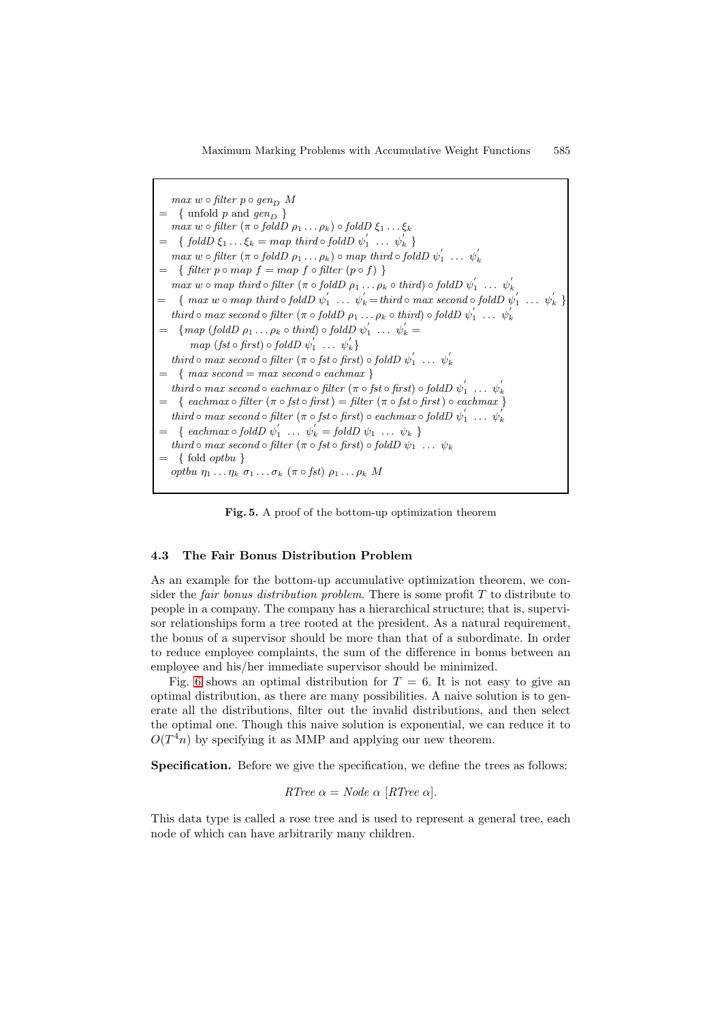$max w \circ filter p \circ gen_D M$  $= \{$  unfold p and gen<sub>D</sub>  $\}$ max w  $\circ$  filter  $(\pi \circ \text{fold}D \rho_1 \ldots \rho_k) \circ \text{fold}D \xi_1 \ldots \xi_k$ = {  $foldD \xi_1 ... \xi_k = map \ third \circ foldD \psi'_1 ... \psi'_k$  }  $max w \circ filter (\pi \circ fold D \rho_1 \ldots \rho_k) \circ map \ third \circ fold D \psi'_1 \ldots \psi'_k$ { filter  $p \circ map f = map f \circ filter (p \circ f)$  }  $max\; w \; \circ \; map \; \mathit{third} \circ \mathit{filter}\; (\pi \circ \mathit{foldD}\; \rho_1 \ldots \rho_k \circ \mathit{third}) \circ \mathit{foldD}\; \psi_1^{'} \; \ldots \; \psi_k^{'}$  $= \{ \; \textit{max w} \circ \textit{map third} \circ \textit{foldD} \; \psi_1^{'} \; \dots \; \psi_k^{'} \!=\! \textit{third} \circ \textit{max second} \circ \textit{foldD} \; \psi_1^{'} \; \dots \; \psi_k^{'} \}$  $_k \}$ third  $\circ$  max second  $\circ$  filter  $(\pi \circ fold D \rho_1 \dots \rho_k \circ third) \circ fold D \psi_1' \dots \psi_k'$  $= \{map (foldD \rho_1 \dots \rho_k \circ third) \circ foldD \psi'_1 \dots \psi'_k = \}$  $map (fst \circ first) \circ foldD \psi'_1 \dots \psi'_k$ third  $\circ$  max second  $\circ$  filter ( $\pi \circ f$ st  $\circ$  first)  $\circ$  foldD  $\psi_1^{'}$  ...  $\psi_k^{'}$  $= \{ max second = max second \circ each max \}$ third  $\circ$  max second  $\circ$  eachmax  $\circ$  filter ( $\pi \circ f$ st  $\circ$  first)  $\circ$  foldD  $\psi_1^{'}$   $\;\ldots\; \psi_k^{'}$  $= \{ each max \circ filter (\pi \circ fst \circ first) = filter (\pi \circ fst \circ first) \circ each max \}$ third  $\circ$  max second  $\circ$  filter ( $\pi \circ \mathit{fst} \circ \mathit{first}$ )  $\circ$  eachmax  $\circ$  foldD  $\psi_1^{'}$   $\;\ldots\; \psi_k^{'}$  $= \{ each max \circ fold D \psi'_1 \dots \psi'_k = fold D \psi_1 \dots \psi_k \}$ third  $\circ$  max second  $\circ$  filter ( $\pi \circ f$ st  $\circ$  first)  $\circ$  foldD  $\psi_1 \dots \psi_k$  $= \{ \text{ fold } optbu \}$ optbu  $\eta_1 \ldots \eta_k \sigma_1 \ldots \sigma_k$  ( $\pi \circ \textit{fst}$ )  $\rho_1 \ldots \rho_k M$ 

**Fig. 5.** A proof of the bottom-up optimization theorem

### <span id="page-10-1"></span><span id="page-10-0"></span>**4.3 The Fair Bonus Distribution Problem**

As an example for the bottom-up accumulative optimization theorem, we consider the fair bonus distribution problem. There is some profit T to distribute to people in a company. The company has a hierarchical structure; that is, supervisor relationships form a tree rooted at the president. As a natural requirement, the bonus of a supervisor should be more than that of a subordinate. In order to reduce employee complaints, the sum of the difference in bonus between an employee and his/her immediate supervisor should be minimized.

Fig. [6](#page-11-0) shows an optimal distribution for  $T = 6$ . It is not easy to give an optimal distribution, as there are many possibilities. A naive solution is to generate all the distributions, filter out the invalid distributions, and then select the optimal one. Though this naive solution is exponential, we can reduce it to  $O(T<sup>4</sup>n)$  by specifying it as MMP and applying our new theorem.

**Specification.** Before we give the specification, we define the trees as follows:

$$
RTree \alpha = Node \alpha [RTree \alpha].
$$

This data type is called a rose tree and is used to represent a general tree, each node of which can have arbitrarily many children.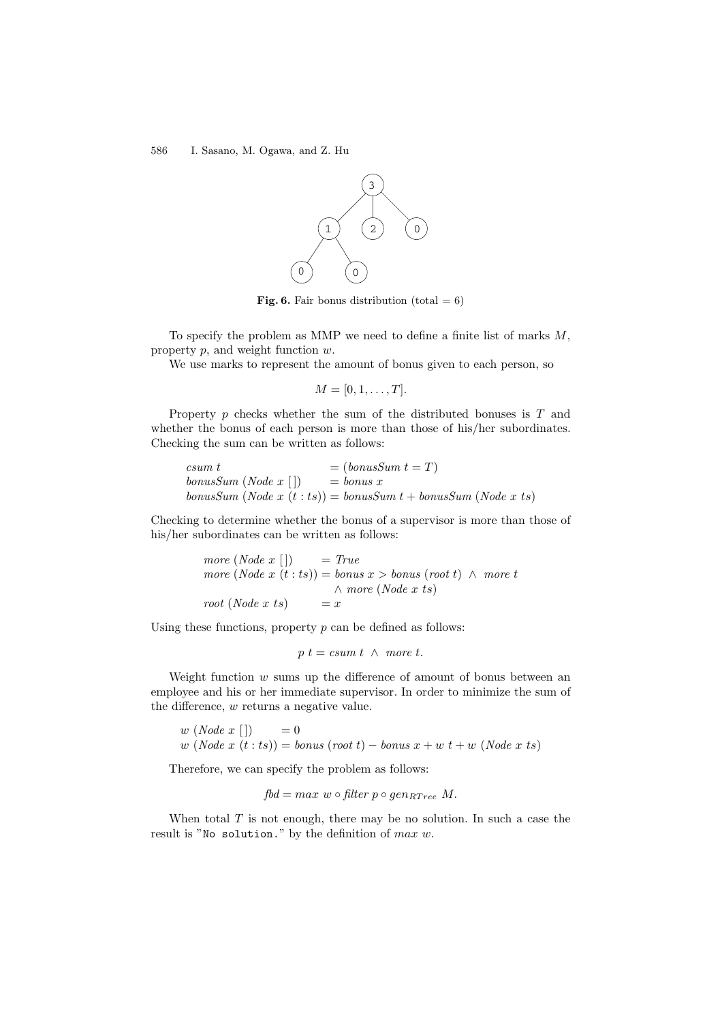

<span id="page-11-0"></span>**Fig. 6.** Fair bonus distribution (total  $= 6$ )

To specify the problem as MMP we need to define a finite list of marks  $M$ , property p, and weight function w.

We use marks to represent the amount of bonus given to each person, so

$$
M=[0,1,\ldots,T].
$$

Property  $p$  checks whether the sum of the distributed bonuses is  $T$  and whether the bonus of each person is more than those of his/her subordinates. Checking the sum can be written as follows:

```
csum t = (bonusSum t = T)bonusSum (Node x []) = bonus xbonusSum (Node x (t : ts)) = bonusSum t +bonusSum (Node x ts)
```
Checking to determine whether the bonus of a supervisor is more than those of his/her subordinates can be written as follows:

$$
more (Node x [] ) = True
$$
  
\n
$$
more (Node x (t : ts)) = bonus x > bonus (root t) \land more t
$$
  
\n
$$
\land more (Node x ts)
$$
  
\n
$$
= x
$$

Using these functions, property  $p$  can be defined as follows:

$$
p t = csum t \wedge more t.
$$

Weight function  $w$  sums up the difference of amount of bonus between an employee and his or her immediate supervisor. In order to minimize the sum of the difference, w returns a negative value.

 $w \ (Node \ x \ []) = 0$  $w(Node x(t : ts)) = bonus (root t) - bonus x + w t + w (Node x ts)$ 

Therefore, we can specify the problem as follows:

$$
fbd = max \ w \circ filter \ p \circ gen_{RTree} \ M.
$$

When total  $T$  is not enough, there may be no solution. In such a case the result is "No solution." by the definition of max w.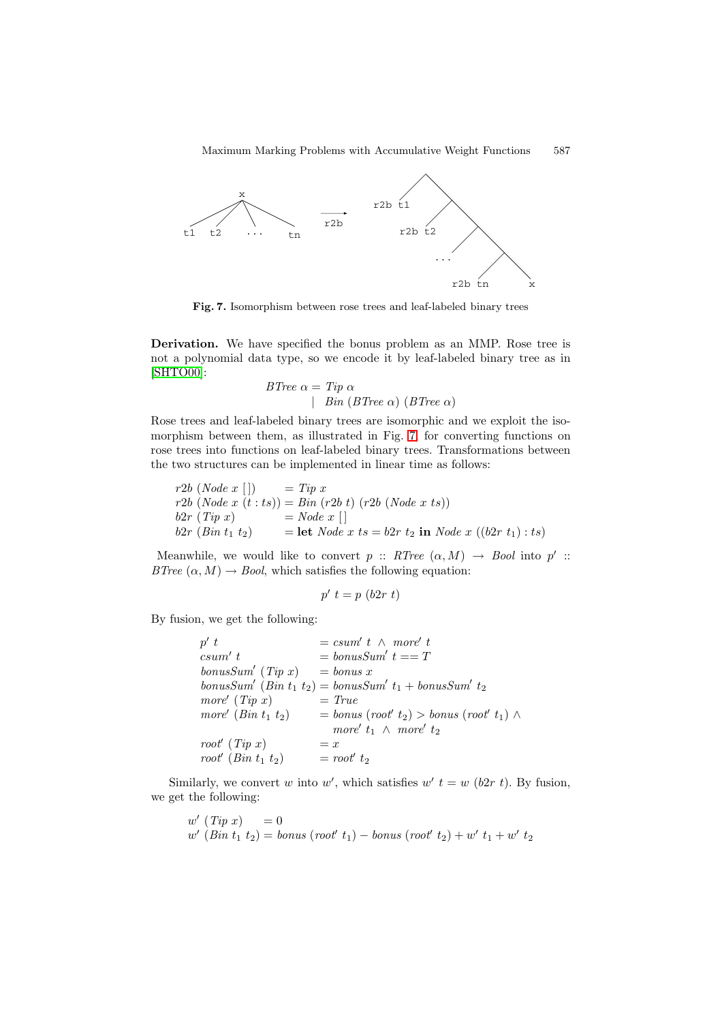

**Fig. 7.** Isomorphism between rose trees and leaf-labeled binary trees

<span id="page-12-0"></span>**Derivation.** We have specified the bonus problem as an MMP. Rose tree is not a polynomial data type, so we encode it by leaf-labeled binary tree as in [\[SHTO00\]](#page-16-0):

$$
BTree \alpha = Tip \alpha
$$
  
 | Bin (BTree \alpha) (BTree \alpha)

Rose trees and leaf-labeled binary trees are isomorphic and we exploit the isomorphism between them, as illustrated in Fig. [7,](#page-12-0) for converting functions on rose trees into functions on leaf-labeled binary trees. Transformations between the two structures can be implemented in linear time as follows:

$$
r2b (Node x [])
$$
  
\n
$$
r2b (Node x (t : ts)) = Bin (r2b t) (r2b (Node x ts))
$$
  
\n
$$
b2r (Tip x)
$$
  
\n
$$
= Node x []
$$
  
\n
$$
b2r (Bin t1 t2)
$$
  
\n
$$
= let Node x ts = b2r t2 in Node x ((b2r t1) : ts)
$$

Meanwhile, we would like to convert  $p :: RTree(\alpha, M) \rightarrow Bool$  into  $p' ::$ BTree  $(\alpha, M) \rightarrow \text{Bool}$ , which satisfies the following equation:

$$
p' t = p (b2r t)
$$

By fusion, we get the following:

$$
p' t = csum' t \wedge more' t
$$
  
\n
$$
csum' t = bonusSum' t == T
$$
  
\n
$$
bonusSum' (Tip x) = bonus x
$$
  
\n
$$
bonusSum' (Bin t_1 t_2) = bonusSum' t_1 + bonusSum' t_2
$$
  
\n
$$
more' (Tip x) = True
$$
  
\n
$$
more' (Bin t_1 t_2) = bonus (root' t_2) > bonus (root' t_1) \wedge\n
$$
more' t_1 \wedge more' t_2
$$
  
\n
$$
root' (Tip x) = x
$$
  
\n
$$
root' (Bin t_1 t_2) = root' t_2
$$
$$

Similarly, we convert w into w', which satisfies  $w' t = w$  (b2r t). By fusion, we get the following:

 $w'$  (Tip x) = 0  $w'$  (Bin  $t_1$   $t_2$ ) = bonus (root'  $t_1$ ) – bonus (root'  $t_2$ ) +  $w'$   $t_1$  +  $w'$   $t_2$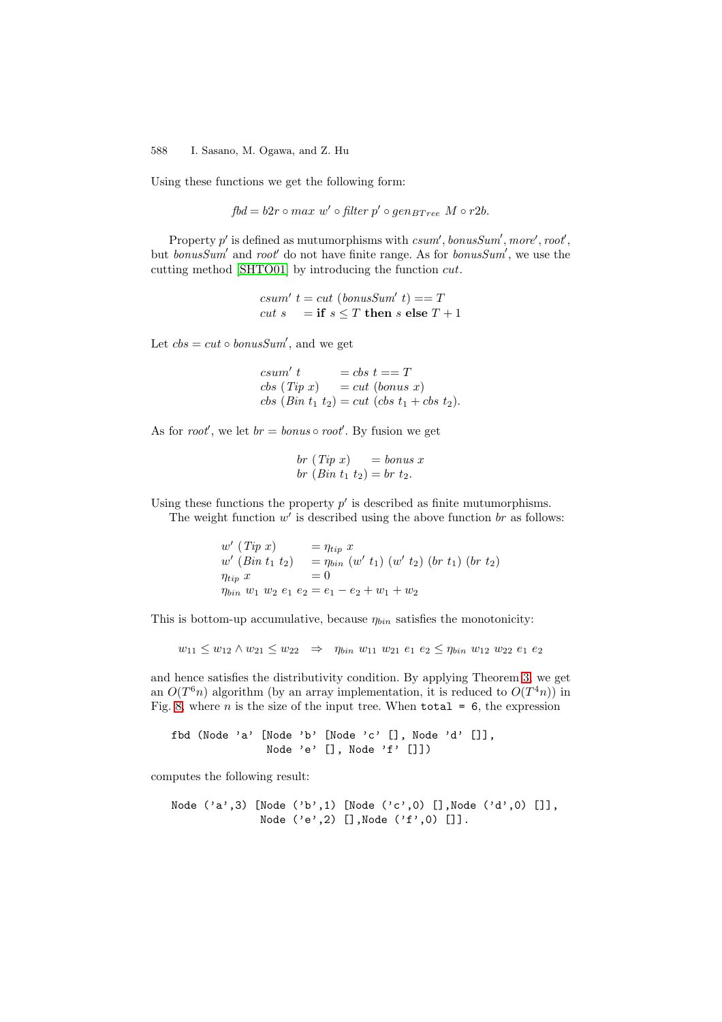Using these functions we get the following form:

 $fbd = b2r \circ max \ w' \circ filter \ p' \circ gen_{BTree} \ M \circ r2b.$ 

Property p' is defined as mutumorphisms with  $csum', bonusSum', more', root',$ but *bonusSum'* and *root'* do not have finite range. As for *bonusSum'*, we use the cutting method [\[SHTO01\]](#page-16-2) by introducing the function cut.

> csum'  $t = cut$  (bonusSum'  $t$ ) == T  $cut s =$  **if**  $s < T$  **then** s **else**  $T + 1$

Let  $\text{cbs} = \text{cut} \circ \text{bonusSum}'$ , and we get

csum' t  $=$  cbs  $t = T$  $\text{cbs (Tip } x) = \text{cut (bounds } x)$ cbs  $(Bin t_1 t_2) = cut (cbs t_1 + cbs t_2).$ 

As for *root'*, we let  $br = bonus \circ root'$ . By fusion we get

$$
br (Tip x) = bonus x
$$
  

$$
br (Bin t1 t2) = br t2.
$$

Using these functions the property  $p'$  is described as finite mutumorphisms.

The weight function  $w'$  is described using the above function  $br$  as follows:

 $w'$  (Tip x) =  $\eta_{tip}$  x  $w'$  (Bin  $t_1$   $t_2$ ) =  $\eta_{bin}$  (w'  $t_1$ ) (w'  $t_2$ ) (br  $t_1$ ) (br  $t_2$ )  $\eta_{tip} x = 0$  $\eta_{bin}$   $w_1$   $w_2$   $e_1$   $e_2$  =  $e_1$  –  $e_2$  +  $w_1$  +  $w_2$ 

This is bottom-up accumulative, because  $\eta_{bin}$  satisfies the monotonicity:

 $w_{11} \leq w_{12} \wedge w_{21} \leq w_{22} \Rightarrow \eta_{bin} \ w_{11} \ w_{21} \ e_1 \ e_2 \leq \eta_{bin} \ w_{12} \ w_{22} \ e_1 \ e_2$ 

and hence satisfies the distributivity condition. By applying Theorem [3,](#page-8-0) we get an  $O(T^6n)$  algorithm (by an array implementation, it is reduced to  $O(T^4n)$ ) in Fig. [8,](#page-14-0) where *n* is the size of the input tree. When  $total = 6$ , the expression

fbd (Node 'a' [Node 'b' [Node 'c' [], Node 'd' []], Node 'e' [], Node 'f' []])

computes the following result:

Node ('a',3) [Node ('b',1) [Node ('c',0) [], Node ('d',0) []], Node ('e',2) [],Node ('f',0) []].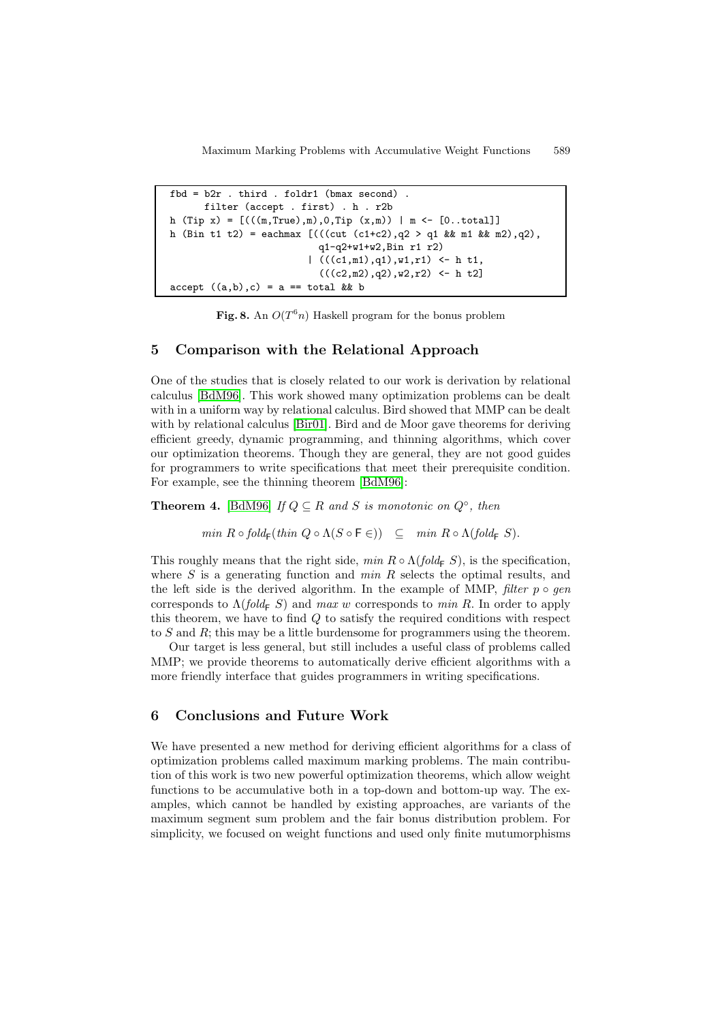```
fbd = b2r. third. foldr1 (bmax second)
      filter (accept . first) . h . r2b
h (Tip x) = [((m, True), m), 0, Tip (x, m)) | m \leftarrow [0. . total]]h (Bin t1 t2) = eachmax [(( (cut (c1+c2), q2 > q1 \&m1 \&m2), q2),q1-q2+w1+w2,Bin r1 r2)
                         | ((c1,m1),q1),w1,r1) <- h t1,
                           (((c2,m2),q2),w2,r2) <- h t2]
accept ((a,b),c) = a == total & b
```
**Fig. 8.** An  $O(T^6n)$  Haskell program for the bonus problem

## <span id="page-14-0"></span>**5 Comparison with the Relational Approach**

One of the studies that is closely related to our work is derivation by relational calculus [\[BdM96\]](#page-15-1). This work showed many optimization problems can be dealt with in a uniform way by relational calculus. Bird showed that MMP can be dealt with by relational calculus [\[Bir01\]](#page-15-2). Bird and de Moor gave theorems for deriving efficient greedy, dynamic programming, and thinning algorithms, which cover our optimization theorems. Though they are general, they are not good guides for programmers to write specifications that meet their prerequisite condition. For example, see the thinning theorem [\[BdM96\]](#page-15-1):

**Theorem 4.** [\[BdM96\]](#page-15-1) If  $Q \subseteq R$  and S is monotonic on  $Q^\circ$ , then

 $min R \circ fold_{\mathsf{F}}(thin Q \circ \Lambda(S \circ \mathsf{F} \in)) \subseteq min R \circ \Lambda(fold_{\mathsf{F}} S).$ 

This roughly means that the right side,  $min R \circ \Lambda (fold \in S)$ , is the specification, where S is a generating function and  $min R$  selects the optimal results, and the left side is the derived algorithm. In the example of MMP, filter  $p \circ q$ en corresponds to  $\Lambda(fold_F S)$  and max w corresponds to min R. In order to apply this theorem, we have to find Q to satisfy the required conditions with respect to S and R; this may be a little burdensome for programmers using the theorem.

Our target is less general, but still includes a useful class of problems called MMP; we provide theorems to automatically derive efficient algorithms with a more friendly interface that guides programmers in writing specifications.

# **6 Conclusions and Future Work**

We have presented a new method for deriving efficient algorithms for a class of optimization problems called maximum marking problems. The main contribution of this work is two new powerful optimization theorems, which allow weight functions to be accumulative both in a top-down and bottom-up way. The examples, which cannot be handled by existing approaches, are variants of the maximum segment sum problem and the fair bonus distribution problem. For simplicity, we focused on weight functions and used only finite mutumorphisms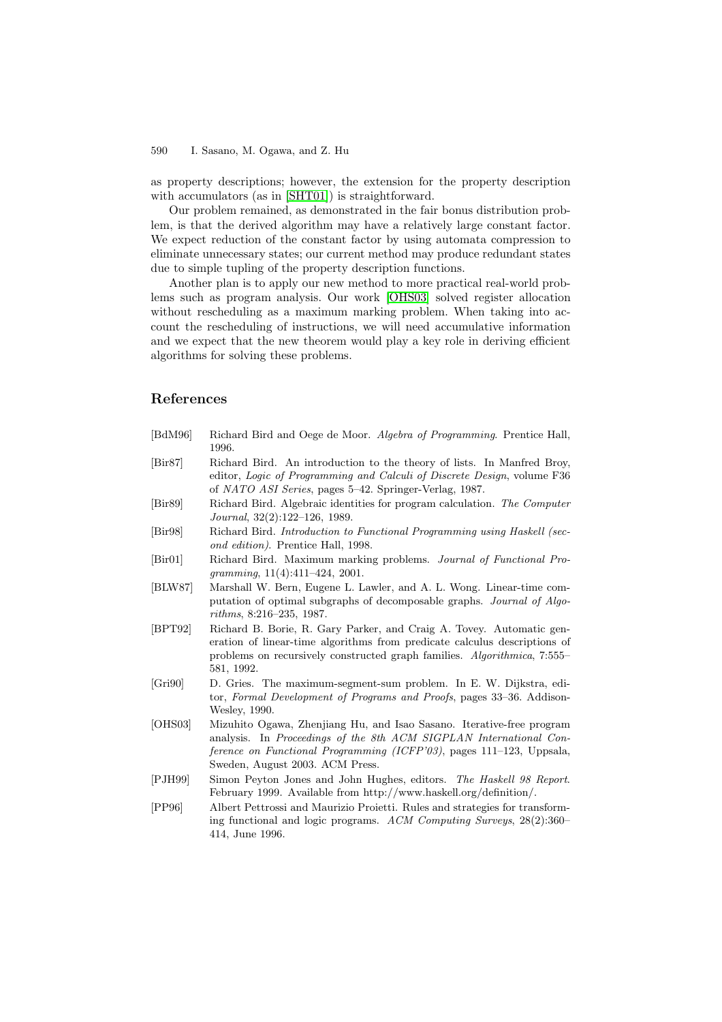as property descriptions; however, the extension for the property description with accumulators (as in [\[SHT01\]](#page-16-1)) is straightforward.

Our problem remained, as demonstrated in the fair bonus distribution problem, is that the derived algorithm may have a relatively large constant factor. We expect reduction of the constant factor by using automata compression to eliminate unnecessary states; our current method may produce redundant states due to simple tupling of the property description functions.

Another plan is to apply our new method to more practical real-world problems such as program analysis. Our work [\[OHS03\]](#page-15-8) solved register allocation without rescheduling as a maximum marking problem. When taking into account the rescheduling of instructions, we will need accumulative information and we expect that the new theorem would play a key role in deriving efficient algorithms for solving these problems.

# <span id="page-15-3"></span>**References**

- <span id="page-15-1"></span>[BdM96] Richard Bird and Oege de Moor. Algebra of Programming. Prentice Hall, 1996.
- <span id="page-15-10"></span>[Bir87] Richard Bird. An introduction to the theory of lists. In Manfred Broy, editor, Logic of Programming and Calculi of Discrete Design, volume F36 of NATO ASI Series, pages 5–42. Springer-Verlag, 1987.
- <span id="page-15-6"></span>[Bir89] Richard Bird. Algebraic identities for program calculation. The Computer Journal, 32(2):122–126, 1989.
- <span id="page-15-11"></span>[Bir98] Richard Bird. Introduction to Functional Programming using Haskell (second edition). Prentice Hall, 1998.
- <span id="page-15-2"></span>[Bir01] Richard Bird. Maximum marking problems. Journal of Functional Programming, 11(4):411–424, 2001.
- <span id="page-15-4"></span>[BLW87] Marshall W. Bern, Eugene L. Lawler, and A. L. Wong. Linear-time computation of optimal subgraphs of decomposable graphs. Journal of Algorithms, 8:216–235, 1987.
- <span id="page-15-5"></span>[BPT92] Richard B. Borie, R. Gary Parker, and Craig A. Tovey. Automatic generation of linear-time algorithms from predicate calculus descriptions of problems on recursively constructed graph families. Algorithmica, 7:555– 581, 1992.
- <span id="page-15-7"></span>[Gri90] D. Gries. The maximum-segment-sum problem. In E. W. Dijkstra, editor, Formal Development of Programs and Proofs, pages 33–36. Addison-Wesley, 1990.
- <span id="page-15-8"></span>[OHS03] Mizuhito Ogawa, Zhenjiang Hu, and Isao Sasano. Iterative-free program analysis. In Proceedings of the 8th ACM SIGPLAN International Conference on Functional Programming (ICFP'03), pages 111–123, Uppsala, Sweden, August 2003. ACM Press.
- <span id="page-15-9"></span>[PJH99] Simon Peyton Jones and John Hughes, editors. The Haskell 98 Report. February 1999. Available from http://www.haskell.org/definition/.
- <span id="page-15-0"></span>[PP96] Albert Pettrossi and Maurizio Proietti. Rules and strategies for transforming functional and logic programs. ACM Computing Surveys, 28(2):360– 414, June 1996.